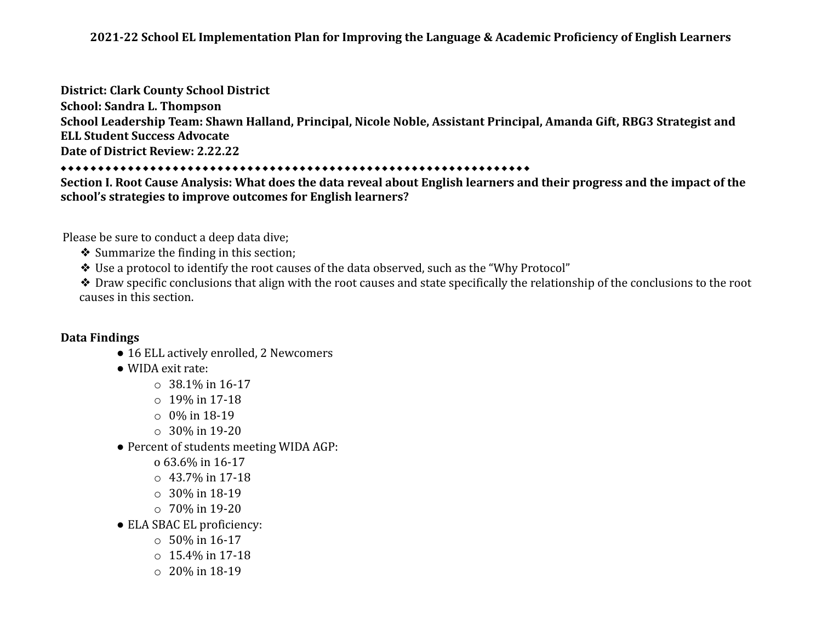### **District: Clark County School District**

**School: Sandra L. Thompson School Leadership Team: Shawn Halland, Principal, Nicole Noble, Assistant Principal, Amanda Gift, RBG3 Strategist and ELL Student Success Advocate Date of District Review: 2.22.22**

### ⬥⬥⬥⬥⬥⬥⬥⬥⬥⬥⬥⬥⬥⬥⬥⬥⬥⬥⬥⬥⬥⬥⬥⬥⬥⬥⬥⬥⬥⬥⬥⬥⬥⬥⬥⬥⬥⬥⬥⬥⬥⬥⬥⬥⬥⬥⬥⬥⬥⬥⬥⬥⬥⬥⬥⬥⬥⬥⬥⬥⬥⬥⬥

**Section I. Root Cause Analysis: What does the data reveal about English learners and their progress and the impact of the school's strategies to improve outcomes for English learners?**

Please be sure to conduct a deep data dive;

❖ Summarize the finding in this section;

❖ Use a protocol to identify the root causes of the data observed, such as the "Why Protocol"

❖ Draw specific conclusions that align with the root causes and state specifically the relationship of the conclusions to the root causes in this section.

# **Data Findings**

- 16 ELL actively enrolled, 2 Newcomers
- WIDA exit rate:
	- $\circ$  38.1% in 16-17
	- $\circ$  19% in 17-18
	- o 0% in 18-19
	- o 30% in 19-20
- Percent of students meeting WIDA AGP:
	- o 63.6% in 16-17
	- $\circ$  43.7% in 17-18
	- o 30% in 18-19
	- o 70% in 19-20
- ELA SBAC EL proficiency:
	- $\circ$  50% in 16-17
	- $\circ$  15.4% in 17-18
	- o 20% in 18-19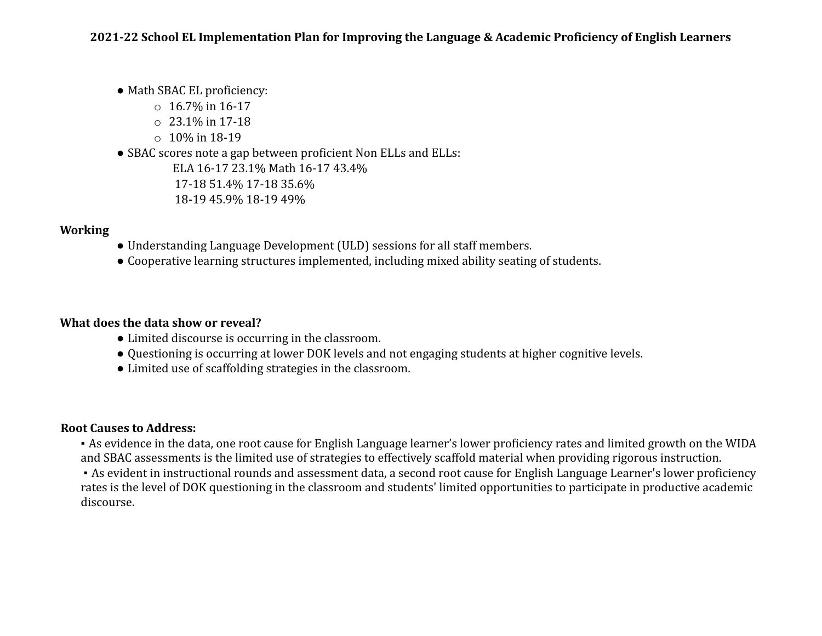• Math SBAC EL proficiency:

- $\circ$  16.7% in 16-17
- $\circ$  23.1% in 17-18
- $\circ$  10% in 18-19
- SBAC scores note a gap between proficient Non ELLs and ELLs:

ELA 16-17 23.1% Math 16-17 43.4% 17-18 51.4% 17-18 35.6% 18-19 45.9% 18-19 49%

# **Working**

- Understanding Language Development (ULD) sessions for all staff members.
- Cooperative learning structures implemented, including mixed ability seating of students.

# **What does the data show or reveal?**

- Limited discourse is occurring in the classroom.
- Questioning is occurring at lower DOK levels and not engaging students at higher cognitive levels.
- Limited use of scaffolding strategies in the classroom.

# **Root Causes to Address:**

▪ As evidence in the data, one root cause for English Language learner's lower proficiency rates and limited growth on the WIDA and SBAC assessments is the limited use of strategies to effectively scaffold material when providing rigorous instruction.

▪ As evident in instructional rounds and assessment data, a second root cause for English Language Learner's lower proficiency rates is the level of DOK questioning in the classroom and students' limited opportunities to participate in productive academic discourse.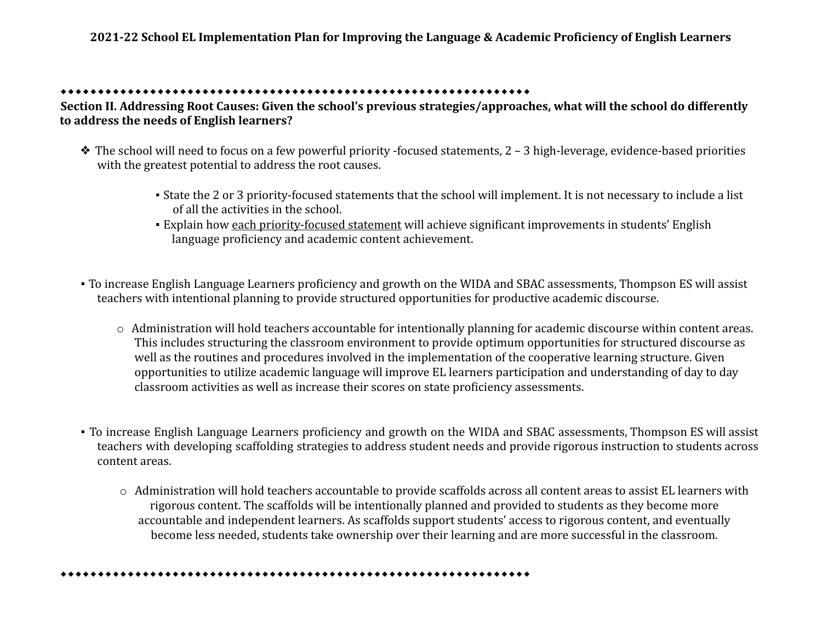#### ⬥⬥⬥⬥⬥⬥⬥⬥⬥⬥⬥⬥⬥⬥⬥⬥⬥⬥⬥⬥⬥⬥⬥⬥⬥⬥⬥⬥⬥⬥⬥⬥⬥⬥⬥⬥⬥⬥⬥⬥⬥⬥⬥⬥⬥⬥⬥⬥⬥⬥⬥⬥⬥⬥⬥⬥⬥⬥⬥⬥⬥⬥⬥

**Section II. Addressing Root Causes: Given the school's previous strategies/approaches, what will the school do differently to address the needs of English learners?**

- ❖ The school will need to focus on a few powerful priority -focused statements, 2 3 high-leverage, evidence-based priorities with the greatest potential to address the root causes.
	- State the 2 or 3 priority-focused statements that the school will implement. It is not necessary to include a list of all the activities in the school.
	- Explain how each priority-focused statement will achieve significant improvements in students' English language proficiency and academic content achievement.
- To increase English Language Learners proficiency and growth on the WIDA and SBAC assessments, Thompson ES will assist teachers with intentional planning to provide structured opportunities for productive academic discourse.
	- o Administration will hold teachers accountable for intentionally planning for academic discourse within content areas. This includes structuring the classroom environment to provide optimum opportunities for structured discourse as well as the routines and procedures involved in the implementation of the cooperative learning structure. Given opportunities to utilize academic language will improve EL learners participation and understanding of day to day classroom activities as well as increase their scores on state proficiency assessments.
- To increase English Language Learners proficiency and growth on the WIDA and SBAC assessments, Thompson ES will assist teachers with developing scaffolding strategies to address student needs and provide rigorous instruction to students across content areas.
	- o Administration will hold teachers accountable to provide scaffolds across all content areas to assist EL learners with rigorous content. The scaffolds will be intentionally planned and provided to students as they become more accountable and independent learners. As scaffolds support students' access to rigorous content, and eventually become less needed, students take ownership over their learning and are more successful in the classroom.

⬥⬥⬥⬥⬥⬥⬥⬥⬥⬥⬥⬥⬥⬥⬥⬥⬥⬥⬥⬥⬥⬥⬥⬥⬥⬥⬥⬥⬥⬥⬥⬥⬥⬥⬥⬥⬥⬥⬥⬥⬥⬥⬥⬥⬥⬥⬥⬥⬥⬥⬥⬥⬥⬥⬥⬥⬥⬥⬥⬥⬥⬥⬥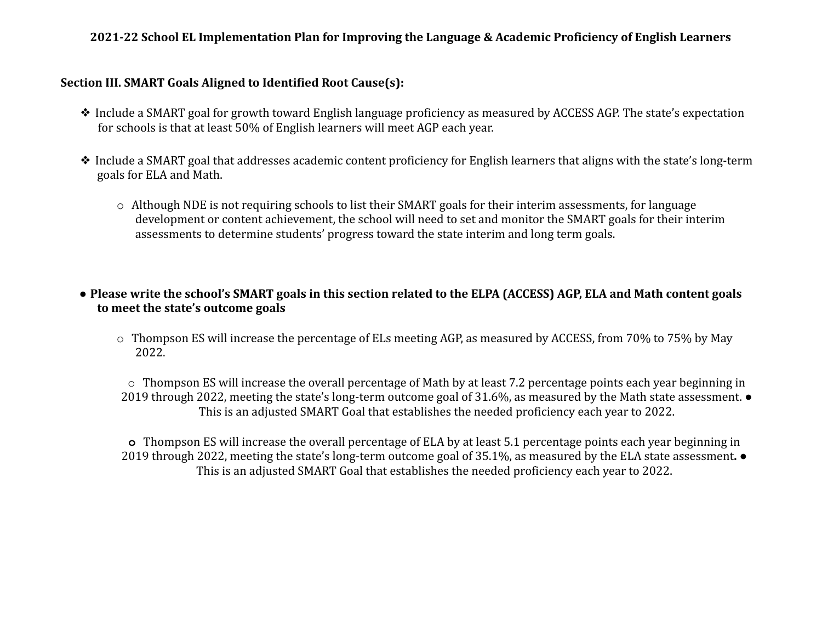## **2021-22 School EL Implementation Plan for Improving the Language & Academic Proficiency of English Learners**

## **Section III. SMART Goals Aligned to Identified Root Cause(s):**

- ❖ Include a SMART goal for growth toward English language proficiency as measured by ACCESS AGP. The state's expectation for schools is that at least 50% of English learners will meet AGP each year.
- ❖ Include a SMART goal that addresses academic content proficiency for English learners that aligns with the state's long-term goals for ELA and Math.
	- o Although NDE is not requiring schools to list their SMART goals for their interim assessments, for language development or content achievement, the school will need to set and monitor the SMART goals for their interim assessments to determine students' progress toward the state interim and long term goals.

# **● Please write the school's SMART goals in this section related to the ELPA (ACCESS) AGP, ELA and Math content goals to meet the state's outcome goals**

o Thompson ES will increase the percentage of ELs meeting AGP, as measured by ACCESS, from 70% to 75% by May 2022.

o Thompson ES will increase the overall percentage of Math by at least 7.2 percentage points each year beginning in 2019 through 2022, meeting the state's long-term outcome goal of 31.6%, as measured by the Math state assessment. ● This is an adjusted SMART Goal that establishes the needed proficiency each year to 2022.

**o** Thompson ES will increase the overall percentage of ELA by at least 5.1 percentage points each year beginning in 2019 through 2022, meeting the state's long-term outcome goal of 35.1%, as measured by the ELA state assessment**.** ● This is an adjusted SMART Goal that establishes the needed proficiency each year to 2022.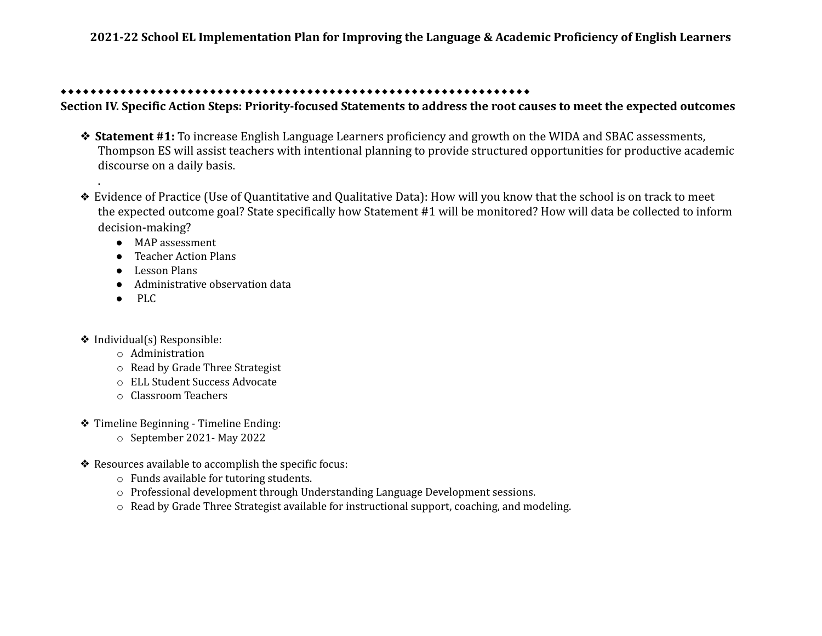# **2021-22 School EL Implementation Plan for Improving the Language & Academic Proficiency of English Learners**

#### ⬥⬥⬥⬥⬥⬥⬥⬥⬥⬥⬥⬥⬥⬥⬥⬥⬥⬥⬥⬥⬥⬥⬥⬥⬥⬥⬥⬥⬥⬥⬥⬥⬥⬥⬥⬥⬥⬥⬥⬥⬥⬥⬥⬥⬥⬥⬥⬥⬥⬥⬥⬥⬥⬥⬥⬥⬥⬥⬥⬥⬥⬥⬥

**Section IV. Specific Action Steps: Priority-focused Statements to address the root causes to meet the expected outcomes**

- ❖ **Statement #1:** To increase English Language Learners proficiency and growth on the WIDA and SBAC assessments, Thompson ES will assist teachers with intentional planning to provide structured opportunities for productive academic discourse on a daily basis.
- ❖ Evidence of Practice (Use of Quantitative and Qualitative Data): How will you know that the school is on track to meet the expected outcome goal? State specifically how Statement #1 will be monitored? How will data be collected to inform decision-making?
	- MAP assessment
	- Teacher Action Plans
	- Lesson Plans
	- Administrative observation data
	- PLC

.

- ❖ Individual(s) Responsible:
	- o Administration
	- o Read by Grade Three Strategist
	- o ELL Student Success Advocate
	- o Classroom Teachers
- ❖ Timeline Beginning Timeline Ending:
	- o September 2021- May 2022
- ❖ Resources available to accomplish the specific focus:
	- o Funds available for tutoring students.
	- o Professional development through Understanding Language Development sessions.
	- o Read by Grade Three Strategist available for instructional support, coaching, and modeling.